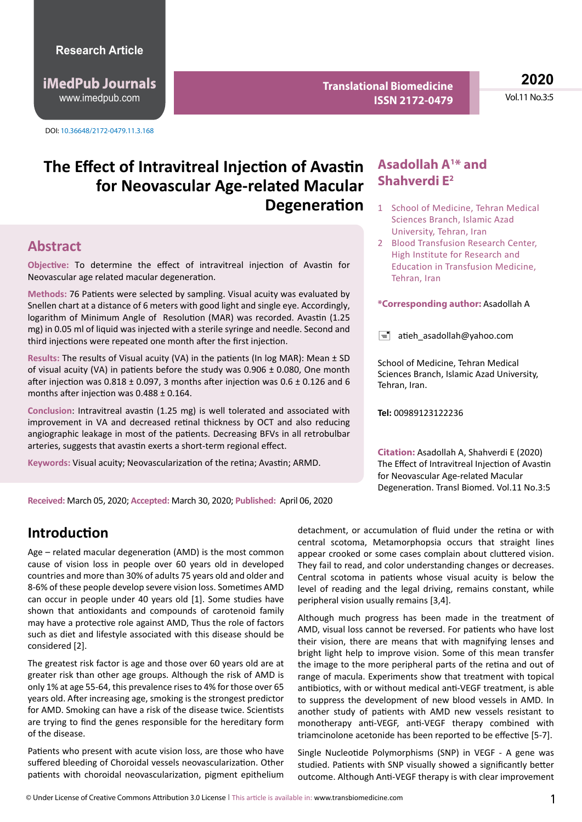http://www.imedpub.com www.imedpub.com **iMedPub Journals**

DOI: 10.36648/2172-0479.11.3.168

**Translational Biomedicine ISSN 2172-0479**

**2020** Vol.11 No.3:5

# The Effect of Intravitreal Injection of Avastin Asadollah A<sup>1\*</sup> and **for Neovascular Age-related Macular Degeneration**

#### **Abstract**

**Objective:** To determine the effect of intravitreal injection of Avastin for Neovascular age related macular degeneration.

**Methods:** 76 Patients were selected by sampling. Visual acuity was evaluated by Snellen chart at a distance of 6 meters with good light and single eye. Accordingly, logarithm of Minimum Angle of Resolution (MAR) was recorded. Avastin (1.25 mg) in 0.05 ml of liquid was injected with a sterile syringe and needle. Second and third injections were repeated one month after the first injection.

**Results:** The results of Visual acuity (VA) in the patients (In log MAR): Mean ± SD of visual acuity (VA) in patients before the study was  $0.906 \pm 0.080$ , One month after injection was  $0.818 \pm 0.097$ , 3 months after injection was  $0.6 \pm 0.126$  and 6 months after injection was 0.488 ± 0.164.

**Conclusion**: Intravitreal avastin (1.25 mg) is well tolerated and associated with improvement in VA and decreased retinal thickness by OCT and also reducing angiographic leakage in most of the patients. Decreasing BFVs in all retrobulbar arteries, suggests that avastin exerts a short-term regional effect.

**Keywords:** Visual acuity; Neovascularization of the retina; Avastin; ARMD.

# **Shahverdi E2**

- 1 School of Medicine, Tehran Medical Sciences Branch, Islamic Azad University, Tehran, Iran
- 2 Blood Transfusion Research Center, High Institute for Research and Education in Transfusion Medicine, Tehran, Iran

#### **\*Corresponding author:** Asadollah A

 $\equiv$  atieh asadollah@yahoo.com

School of Medicine, Tehran Medical Sciences Branch, Islamic Azad University, Tehran, Iran.

**Tel:** 00989123122236

**Citation:** Asadollah A, Shahverdi E (2020) The Effect of Intravitreal Injection of Avastin for Neovascular Age-related Macular Degeneration. Transl Biomed. Vol.11 No.3:5

**Received:** March 05, 2020; **Accepted:** March 30, 2020; **Published:** April 06, 2020

#### **Introduction**

Age – related macular degeneration (AMD) is the most common cause of vision loss in people over 60 years old in developed countries and more than 30% of adults 75 years old and older and 8-6% of these people develop severe vision loss. Sometimes AMD can occur in people under 40 years old [1]. Some studies have shown that antioxidants and compounds of carotenoid family may have a protective role against AMD, Thus the role of factors such as diet and lifestyle associated with this disease should be considered [2].

The greatest risk factor is age and those over 60 years old are at greater risk than other age groups. Although the risk of AMD is only 1% at age 55-64, this prevalence rises to 4% for those over 65 years old. After increasing age, smoking is the strongest predictor for AMD. Smoking can have a risk of the disease twice. Scientists are trying to find the genes responsible for the hereditary form of the disease.

Patients who present with acute vision loss, are those who have suffered bleeding of Choroidal vessels neovascularization. Other patients with choroidal neovascularization, pigment epithelium detachment, or accumulation of fluid under the retina or with central scotoma, Metamorphopsia occurs that straight lines appear crooked or some cases complain about cluttered vision. They fail to read, and color understanding changes or decreases. Central scotoma in patients whose visual acuity is below the level of reading and the legal driving, remains constant, while peripheral vision usually remains [3,4].

Although much progress has been made in the treatment of AMD, visual loss cannot be reversed. For patients who have lost their vision, there are means that with magnifying lenses and bright light help to improve vision. Some of this mean transfer the image to the more peripheral parts of the retina and out of range of macula. Experiments show that treatment with topical antibiotics, with or without medical anti-VEGF treatment, is able to suppress the development of new blood vessels in AMD. In another study of patients with AMD new vessels resistant to monotherapy anti-VEGF, anti-VEGF therapy combined with triamcinolone acetonide has been reported to be effective [5-7].

Single Nucleotide Polymorphisms (SNP) in VEGF - A gene was studied. Patients with SNP visually showed a significantly better outcome. Although Anti-VEGF therapy is with clear improvement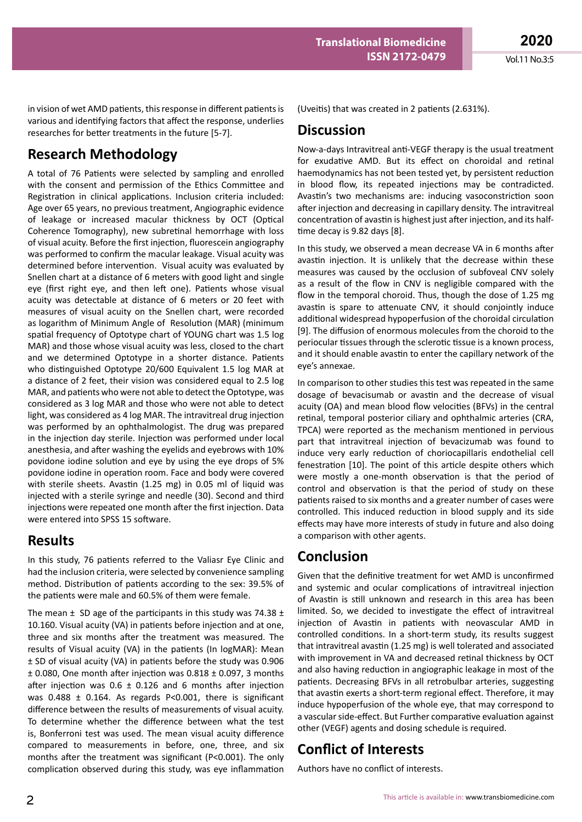in vision of wet AMD patients, this response in different patients is various and identifying factors that affect the response, underlies researches for better treatments in the future [5-7].

# **Research Methodology**

A total of 76 Patients were selected by sampling and enrolled with the consent and permission of the Ethics Committee and Registration in clinical applications. Inclusion criteria included: Age over 65 years, no previous treatment, Angiographic evidence of leakage or increased macular thickness by OCT (Optical Coherence Tomography), new subretinal hemorrhage with loss of visual acuity. Before the first injection, fluorescein angiography was performed to confirm the macular leakage. Visual acuity was determined before intervention. Visual acuity was evaluated by Snellen chart at a distance of 6 meters with good light and single eye (first right eye, and then left one). Patients whose visual acuity was detectable at distance of 6 meters or 20 feet with measures of visual acuity on the Snellen chart, were recorded as logarithm of Minimum Angle of Resolution (MAR) (minimum spatial frequency of Optotype chart of YOUNG chart was 1.5 log MAR) and those whose visual acuity was less, closed to the chart and we determined Optotype in a shorter distance. Patients who distinguished Optotype 20/600 Equivalent 1.5 log MAR at a distance of 2 feet, their vision was considered equal to 2.5 log MAR, and patients who were not able to detect the Optotype, was considered as 3 log MAR and those who were not able to detect light, was considered as 4 log MAR. The intravitreal drug injection was performed by an ophthalmologist. The drug was prepared in the injection day sterile. Injection was performed under local anesthesia, and after washing the eyelids and eyebrows with 10% povidone iodine solution and eye by using the eye drops of 5% povidone iodine in operation room. Face and body were covered with sterile sheets. Avastin (1.25 mg) in 0.05 ml of liquid was injected with a sterile syringe and needle (30). Second and third injections were repeated one month after the first injection. Data were entered into SPSS 15 software.

#### **Results**

In this study, 76 patients referred to the Valiasr Eye Clinic and had the inclusion criteria, were selected by convenience sampling method. Distribution of patients according to the sex: 39.5% of the patients were male and 60.5% of them were female.

The mean  $\pm$  SD age of the participants in this study was 74.38  $\pm$ 10.160. Visual acuity (VA) in patients before injection and at one, three and six months after the treatment was measured. The results of Visual acuity (VA) in the patients (In logMAR): Mean ± SD of visual acuity (VA) in patients before the study was 0.906 ± 0.080, One month after injection was 0.818 ± 0.097, 3 months after injection was  $0.6 \pm 0.126$  and 6 months after injection was 0.488 ± 0.164. As regards P<0.001, there is significant difference between the results of measurements of visual acuity. To determine whether the difference between what the test is, Bonferroni test was used. The mean visual acuity difference compared to measurements in before, one, three, and six months after the treatment was significant (P<0.001). The only complication observed during this study, was eye inflammation

(Uveitis) that was created in 2 patients (2.631%).

#### **Discussion**

Now-a-days Intravitreal anti‐VEGF therapy is the usual treatment for exudative AMD. But its effect on choroidal and retinal haemodynamics has not been tested yet, by persistent reduction in blood flow, its repeated injections may be contradicted. Avastin's two mechanisms are: inducing vasoconstriction soon after injection and decreasing in capillary density. The intravitreal concentration of avastin is highest just after injection, and its half‐ time decay is 9.82 days [8].

In this study, we observed a mean decrease VA in 6 months after avastin injection. It is unlikely that the decrease within these measures was caused by the occlusion of subfoveal CNV solely as a result of the flow in CNV is negligible compared with the flow in the temporal choroid. Thus, though the dose of 1.25 mg avastin is spare to attenuate CNV, it should conjointly induce additional widespread hypoperfusion of the choroidal circulation [9]. The diffusion of enormous molecules from the choroid to the periocular tissues through the sclerotic tissue is a known process, and it should enable avastin to enter the capillary network of the eye's annexae.

In comparison to other studies this test was repeated in the same dosage of bevacisumab or avastin and the decrease of visual acuity (OA) and mean blood flow velocities (BFVs) in the central retinal, temporal posterior ciliary and ophthalmic arteries (CRA, TPCA) were reported as the mechanism mentioned in pervious part that intravitreal injection of bevacizumab was found to induce very early reduction of choriocapillaris endothelial cell fenestration [10]. The point of this article despite others which were mostly a one-month observation is that the period of control and observation is that the period of study on these patients raised to six months and a greater number of cases were controlled. This induced reduction in blood supply and its side effects may have more interests of study in future and also doing a comparison with other agents.

# **Conclusion**

Given that the definitive treatment for wet AMD is unconfirmed and systemic and ocular complications of intravitreal injection of Avastin is still unknown and research in this area has been limited. So, we decided to investigate the effect of intravitreal injection of Avastin in patients with neovascular AMD in controlled conditions. In a short-term study, its results suggest that intravitreal avastin (1.25 mg) is well tolerated and associated with improvement in VA and decreased retinal thickness by OCT and also having reduction in angiographic leakage in most of the patients. Decreasing BFVs in all retrobulbar arteries, suggesting that avastin exerts a short‐term regional effect. Therefore, it may induce hypoperfusion of the whole eye, that may correspond to a vascular side‐effect. But Further comparative evaluation against other (VEGF) agents and dosing schedule is required.

# **Conflict of Interests**

Authors have no conflict of interests.